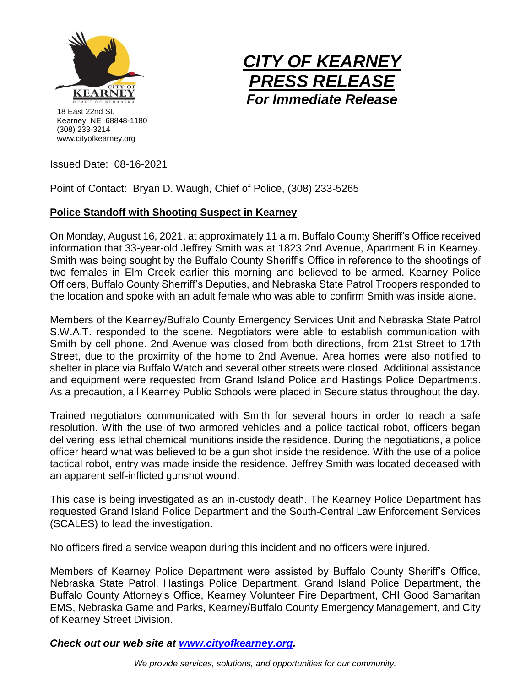



Issued Date: 08-16-2021

Point of Contact: Bryan D. Waugh, Chief of Police, (308) 233-5265

## **Police Standoff with Shooting Suspect in Kearney**

On Monday, August 16, 2021, at approximately 11 a.m. Buffalo County Sheriff's Office received information that 33-year-old Jeffrey Smith was at 1823 2nd Avenue, Apartment B in Kearney. Smith was being sought by the Buffalo County Sheriff's Office in reference to the shootings of two females in Elm Creek earlier this morning and believed to be armed. Kearney Police Officers, Buffalo County Sherriff's Deputies, and Nebraska State Patrol Troopers responded to the location and spoke with an adult female who was able to confirm Smith was inside alone.

Members of the Kearney/Buffalo County Emergency Services Unit and Nebraska State Patrol S.W.A.T. responded to the scene. Negotiators were able to establish communication with Smith by cell phone. 2nd Avenue was closed from both directions, from 21st Street to 17th Street, due to the proximity of the home to 2nd Avenue. Area homes were also notified to shelter in place via Buffalo Watch and several other streets were closed. Additional assistance and equipment were requested from Grand Island Police and Hastings Police Departments. As a precaution, all Kearney Public Schools were placed in Secure status throughout the day.

Trained negotiators communicated with Smith for several hours in order to reach a safe resolution. With the use of two armored vehicles and a police tactical robot, officers began delivering less lethal chemical munitions inside the residence. During the negotiations, a police officer heard what was believed to be a gun shot inside the residence. With the use of a police tactical robot, entry was made inside the residence. Jeffrey Smith was located deceased with an apparent self-inflicted gunshot wound.

This case is being investigated as an in-custody death. The Kearney Police Department has requested Grand Island Police Department and the South-Central Law Enforcement Services (SCALES) to lead the investigation.

No officers fired a service weapon during this incident and no officers were injured.

Members of Kearney Police Department were assisted by Buffalo County Sheriff's Office, Nebraska State Patrol, Hastings Police Department, Grand Island Police Department, the Buffalo County Attorney's Office, Kearney Volunteer Fire Department, CHI Good Samaritan EMS, Nebraska Game and Parks, Kearney/Buffalo County Emergency Management, and City of Kearney Street Division.

*Check out our web site at [www.cityofkearney.org.](http://www.cityofkearney.org/)*